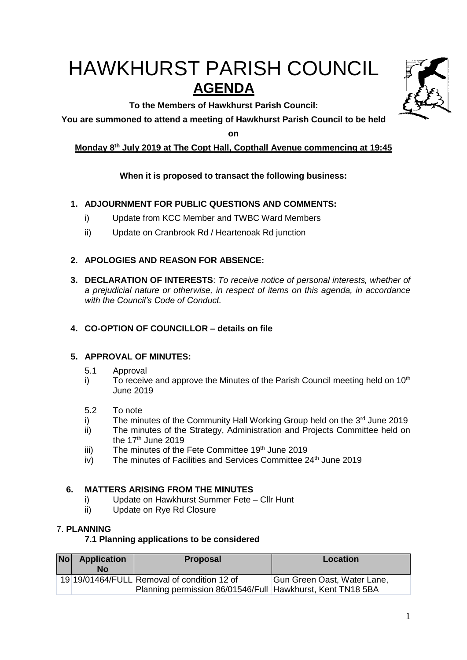# HAWKHURST PARISH COUNCIL **AGENDA**

**To the Members of Hawkhurst Parish Council:**

**You are summoned to attend a meeting of Hawkhurst Parish Council to be held** 

**on**

# **Monday 8 th July 2019 at The Copt Hall, Copthall Avenue commencing at 19:45**

# **When it is proposed to transact the following business:**

## **1. ADJOURNMENT FOR PUBLIC QUESTIONS AND COMMENTS:**

- i) Update from KCC Member and TWBC Ward Members
- ii) Update on Cranbrook Rd / Heartenoak Rd junction

## **2. APOLOGIES AND REASON FOR ABSENCE:**

**3. DECLARATION OF INTERESTS**: *To receive notice of personal interests, whether of a prejudicial nature or otherwise, in respect of items on this agenda, in accordance with the Council's Code of Conduct.*

## **4. CO-OPTION OF COUNCILLOR – details on file**

## **5. APPROVAL OF MINUTES:**

- 5.1 Approval
- i) To receive and approve the Minutes of the Parish Council meeting held on  $10<sup>th</sup>$ June 2019
- 5.2 To note
- i) The minutes of the Community Hall Working Group held on the  $3<sup>rd</sup>$  June 2019
- ii) The minutes of the Strategy, Administration and Projects Committee held on the 17<sup>th</sup> June 2019
- iii) The minutes of the Fete Committee  $19<sup>th</sup>$  June 2019
- iv) The minutes of Facilities and Services Committee 24<sup>th</sup> June 2019

## **6. MATTERS ARISING FROM THE MINUTES**

- i) Update on Hawkhurst Summer Fete Cllr Hunt
- ii) Update on Rye Rd Closure

## 7. **PLANNING**

## **7.1 Planning applications to be considered**

| Nol | <b>Application</b><br>No | <b>Proposal</b>                                                                                           | Location                    |
|-----|--------------------------|-----------------------------------------------------------------------------------------------------------|-----------------------------|
|     |                          | 19 19/01464/FULL Removal of condition 12 of<br>Planning permission 86/01546/Full Hawkhurst, Kent TN18 5BA | Gun Green Oast, Water Lane, |

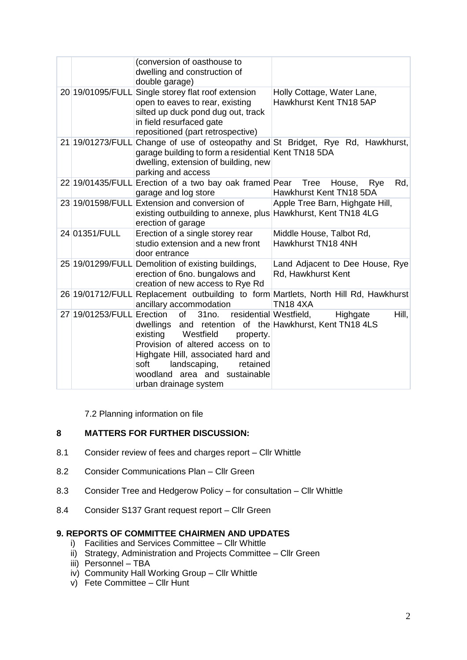|                           | (conversion of oasthouse to<br>dwelling and construction of<br>double garage)                                                                                                                                                                                                                                                |                                                                                                        |
|---------------------------|------------------------------------------------------------------------------------------------------------------------------------------------------------------------------------------------------------------------------------------------------------------------------------------------------------------------------|--------------------------------------------------------------------------------------------------------|
|                           | 20 19/01095/FULL Single storey flat roof extension<br>open to eaves to rear, existing<br>silted up duck pond dug out, track<br>in field resurfaced gate<br>repositioned (part retrospective)                                                                                                                                 | Holly Cottage, Water Lane,<br>Hawkhurst Kent TN18 5AP                                                  |
| 21 19/01273/FULL          | garage building to form a residential Kent TN18 5DA<br>dwelling, extension of building, new<br>parking and access                                                                                                                                                                                                            | Change of use of osteopathy and St Bridget, Rye Rd, Hawkhurst,                                         |
|                           | 22 19/01435/FULL Erection of a two bay oak framed Pear Tree<br>garage and log store                                                                                                                                                                                                                                          | Rd,<br>House,<br>Rye<br>Hawkhurst Kent TN18 5DA                                                        |
|                           | 23 19/01598/FULL Extension and conversion of<br>existing outbuilding to annexe, plus Hawkhurst, Kent TN18 4LG<br>erection of garage                                                                                                                                                                                          | Apple Tree Barn, Highgate Hill,                                                                        |
| 24 01351/FULL             | Erection of a single storey rear<br>studio extension and a new front<br>door entrance                                                                                                                                                                                                                                        | Middle House, Talbot Rd,<br>Hawkhurst TN18 4NH                                                         |
|                           | 25 19/01299/FULL Demolition of existing buildings,<br>erection of 6no. bungalows and<br>creation of new access to Rye Rd                                                                                                                                                                                                     | Land Adjacent to Dee House, Rye<br>Rd, Hawkhurst Kent                                                  |
|                           | ancillary accommodation                                                                                                                                                                                                                                                                                                      | 26 19/01712/FULL Replacement outbuilding to form Martlets, North Hill Rd, Hawkhurst<br><b>TN18 4XA</b> |
| 27 19/01253/FULL Erection | residential Westfield,<br>of<br>31 <sub>no</sub> .<br>dwellings and retention of the Hawkhurst, Kent TN18 4LS<br>Westfield<br>existing<br>property.<br>Provision of altered access on to<br>Highgate Hill, associated hard and<br>landscaping,<br>soft<br>retained<br>woodland area and sustainable<br>urban drainage system | Hill,<br>Highgate                                                                                      |

7.2 Planning information on file

## **8 MATTERS FOR FURTHER DISCUSSION:**

- 8.1 Consider review of fees and charges report Cllr Whittle
- 8.2 Consider Communications Plan Cllr Green
- 8.3 Consider Tree and Hedgerow Policy for consultation Cllr Whittle
- 8.4 Consider S137 Grant request report Cllr Green

#### **9. REPORTS OF COMMITTEE CHAIRMEN AND UPDATES**

- i) Facilities and Services Committee Cllr Whittle
- ii) Strategy, Administration and Projects Committee Cllr Green
- iii) Personnel TBA
- iv) Community Hall Working Group Cllr Whittle
- v) Fete Committee Cllr Hunt